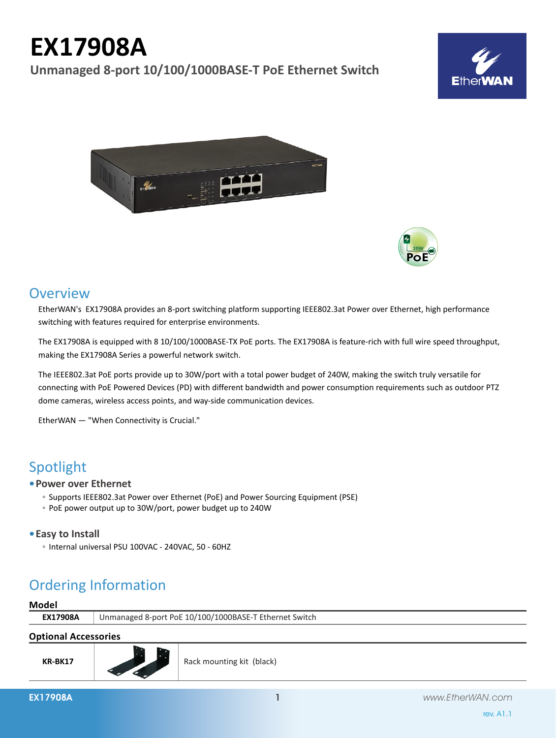# **EX17908A**

**Unmanaged 8-port 10/100/1000BASE-T PoE Ethernet Switch**







### **Overview**

EtherWAN's EX17908A provides an 8-port switching platform supporting IEEE802.3at Power over Ethernet, high performance switching with features required for enterprise environments.

The EX17908A is equipped with 8 10/100/1000BASE-TX PoE ports. The EX17908A is feature-rich with full wire speed throughput, making the EX17908A Series a powerful network switch.

The IEEE802.3at PoE ports provide up to 30W/port with a total power budget of 240W, making the switch truly versatile for connecting with PoE Powered Devices (PD) with different bandwidth and power consumption requirements such as outdoor PTZ dome cameras, wireless access points, and way-side communication devices.

EtherWAN — "When Connectivity is Crucial."

# Spotlight

#### **• Power over Ethernet**

- Supports IEEE802.3at Power over Ethernet (PoE) and Power Sourcing Equipment (PSE)
- PoE power output up to 30W/port, power budget up to 240W

#### **• Easy to Install**

◦ Internal universal PSU 100VAC - 240VAC, 50 - 60HZ

# Ordering Information

## **Model EX17908A** Unmanaged 8-port PoE 10/100/1000BASE-T Ethernet Switch

#### **Optional Accessories**

**KR-BK17**

Rack mounting kit (black)